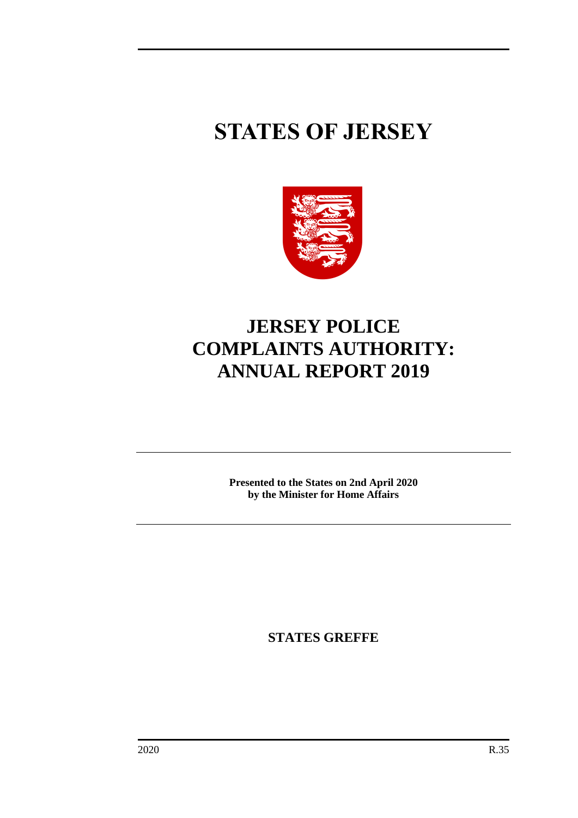# **STATES OF JERSEY**



## **JERSEY POLICE COMPLAINTS AUTHORITY: ANNUAL REPORT 2019**

**Presented to the States on 2nd April 2020 by the Minister for Home Affairs**

**STATES GREFFE**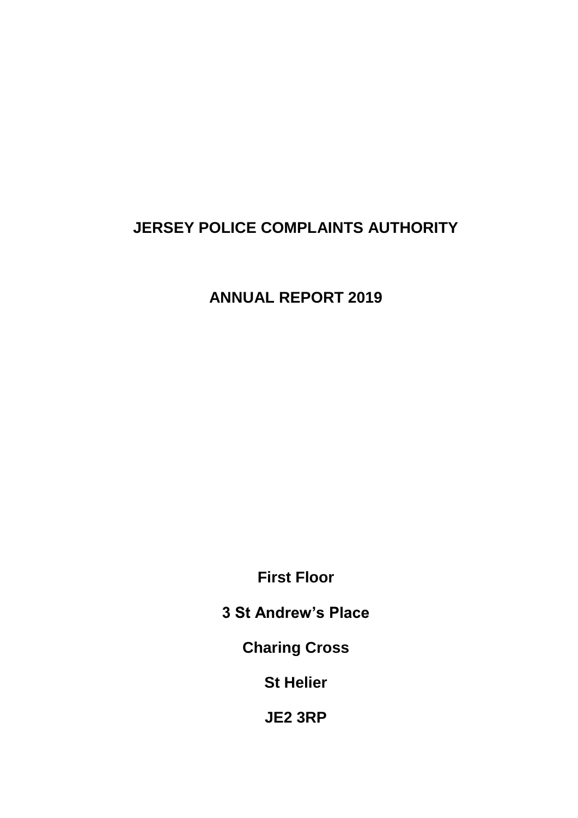### **JERSEY POLICE COMPLAINTS AUTHORITY**

**ANNUAL REPORT 2019**

**First Floor**

**3 St Andrew's Place**

**Charing Cross**

**St Helier**

**JE2 3RP**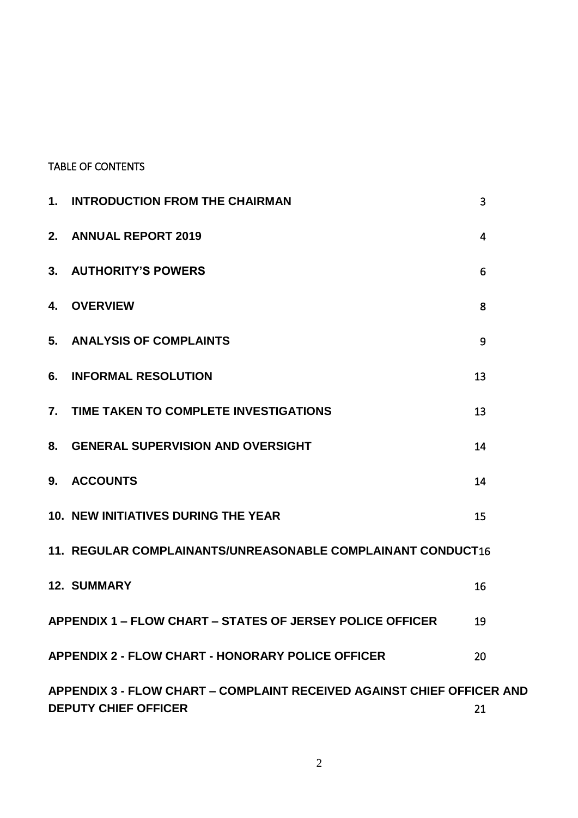#### TABLE OF CONTENTS

| 1.                                                          | <b>INTRODUCTION FROM THE CHAIRMAN</b>                                                                              | 3              |  |  |  |  |  |
|-------------------------------------------------------------|--------------------------------------------------------------------------------------------------------------------|----------------|--|--|--|--|--|
| 2.                                                          | <b>ANNUAL REPORT 2019</b>                                                                                          | $\overline{4}$ |  |  |  |  |  |
| 3.                                                          | <b>AUTHORITY'S POWERS</b>                                                                                          | 6              |  |  |  |  |  |
| 4.                                                          | <b>OVERVIEW</b>                                                                                                    | 8              |  |  |  |  |  |
| 5.                                                          | <b>ANALYSIS OF COMPLAINTS</b>                                                                                      | 9              |  |  |  |  |  |
| 6.                                                          | <b>INFORMAL RESOLUTION</b>                                                                                         | 13             |  |  |  |  |  |
| 7.                                                          | TIME TAKEN TO COMPLETE INVESTIGATIONS                                                                              | 13             |  |  |  |  |  |
| 8.                                                          | <b>GENERAL SUPERVISION AND OVERSIGHT</b>                                                                           | 14             |  |  |  |  |  |
| 9.                                                          | <b>ACCOUNTS</b>                                                                                                    | 14             |  |  |  |  |  |
|                                                             | <b>10. NEW INITIATIVES DURING THE YEAR</b>                                                                         | 15             |  |  |  |  |  |
| 11. REGULAR COMPLAINANTS/UNREASONABLE COMPLAINANT CONDUCT16 |                                                                                                                    |                |  |  |  |  |  |
|                                                             | <b>12. SUMMARY</b>                                                                                                 | 16             |  |  |  |  |  |
|                                                             | <b>APPENDIX 1 – FLOW CHART – STATES OF JERSEY POLICE OFFICER</b>                                                   | 19             |  |  |  |  |  |
|                                                             | <b>APPENDIX 2 - FLOW CHART - HONORARY POLICE OFFICER</b>                                                           | 20             |  |  |  |  |  |
|                                                             | <b>APPENDIX 3 - FLOW CHART – COMPLAINT RECEIVED AGAINST CHIEF OFFICER AND</b><br><b>DEPUTY CHIEF OFFICER</b><br>21 |                |  |  |  |  |  |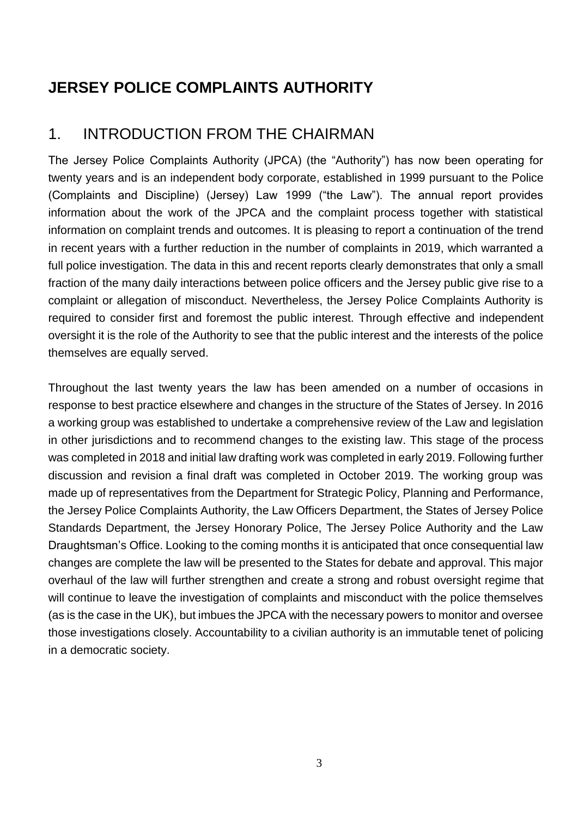### **JERSEY POLICE COMPLAINTS AUTHORITY**

#### <span id="page-4-0"></span>1. INTRODUCTION FROM THE CHAIRMAN

The Jersey Police Complaints Authority (JPCA) (the "Authority") has now been operating for twenty years and is an independent body corporate, established in 1999 pursuant to the Police (Complaints and Discipline) (Jersey) Law 1999 ("the Law"). The annual report provides information about the work of the JPCA and the complaint process together with statistical information on complaint trends and outcomes. It is pleasing to report a continuation of the trend in recent years with a further reduction in the number of complaints in 2019, which warranted a full police investigation. The data in this and recent reports clearly demonstrates that only a small fraction of the many daily interactions between police officers and the Jersey public give rise to a complaint or allegation of misconduct. Nevertheless, the Jersey Police Complaints Authority is required to consider first and foremost the public interest. Through effective and independent oversight it is the role of the Authority to see that the public interest and the interests of the police themselves are equally served.

Throughout the last twenty years the law has been amended on a number of occasions in response to best practice elsewhere and changes in the structure of the States of Jersey. In 2016 a working group was established to undertake a comprehensive review of the Law and legislation in other jurisdictions and to recommend changes to the existing law. This stage of the process was completed in 2018 and initial law drafting work was completed in early 2019. Following further discussion and revision a final draft was completed in October 2019. The working group was made up of representatives from the Department for Strategic Policy, Planning and Performance, the Jersey Police Complaints Authority, the Law Officers Department, the States of Jersey Police Standards Department, the Jersey Honorary Police, The Jersey Police Authority and the Law Draughtsman's Office. Looking to the coming months it is anticipated that once consequential law changes are complete the law will be presented to the States for debate and approval. This major overhaul of the law will further strengthen and create a strong and robust oversight regime that will continue to leave the investigation of complaints and misconduct with the police themselves (as is the case in the UK), but imbues the JPCA with the necessary powers to monitor and oversee those investigations closely. Accountability to a civilian authority is an immutable tenet of policing in a democratic society.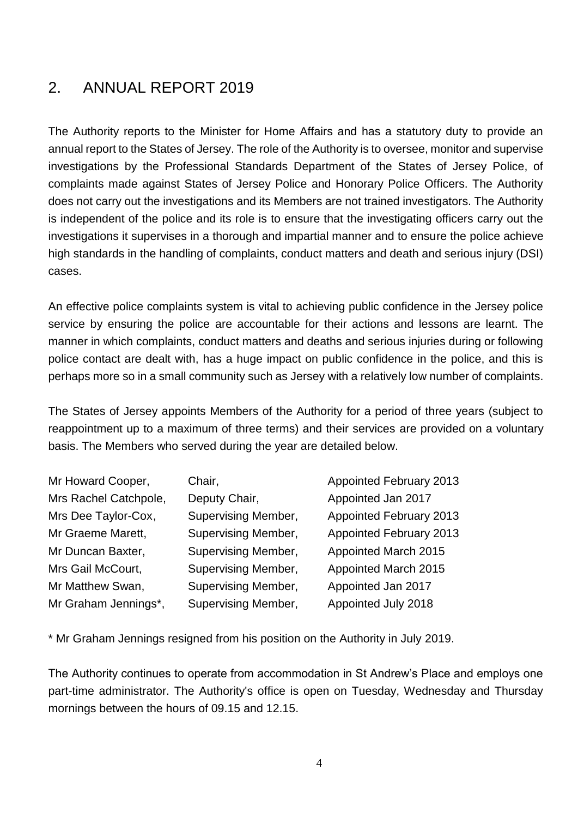#### <span id="page-5-0"></span>2. ANNUAL REPORT 2019

The Authority reports to the Minister for Home Affairs and has a statutory duty to provide an annual report to the States of Jersey. The role of the Authority is to oversee, monitor and supervise investigations by the Professional Standards Department of the States of Jersey Police, of complaints made against States of Jersey Police and Honorary Police Officers. The Authority does not carry out the investigations and its Members are not trained investigators. The Authority is independent of the police and its role is to ensure that the investigating officers carry out the investigations it supervises in a thorough and impartial manner and to ensure the police achieve high standards in the handling of complaints, conduct matters and death and serious injury (DSI) cases.

An effective police complaints system is vital to achieving public confidence in the Jersey police service by ensuring the police are accountable for their actions and lessons are learnt. The manner in which complaints, conduct matters and deaths and serious injuries during or following police contact are dealt with, has a huge impact on public confidence in the police, and this is perhaps more so in a small community such as Jersey with a relatively low number of complaints.

The States of Jersey appoints Members of the Authority for a period of three years (subject to reappointment up to a maximum of three terms) and their services are provided on a voluntary basis. The Members who served during the year are detailed below.

| Mr Howard Cooper,     | Chair,                     | <b>Appointed February 2013</b> |
|-----------------------|----------------------------|--------------------------------|
| Mrs Rachel Catchpole, | Deputy Chair,              | Appointed Jan 2017             |
| Mrs Dee Taylor-Cox,   | <b>Supervising Member,</b> | Appointed February 2013        |
| Mr Graeme Marett,     | <b>Supervising Member,</b> | <b>Appointed February 2013</b> |
| Mr Duncan Baxter,     | <b>Supervising Member,</b> | Appointed March 2015           |
| Mrs Gail McCourt,     | <b>Supervising Member,</b> | Appointed March 2015           |
| Mr Matthew Swan,      | <b>Supervising Member,</b> | Appointed Jan 2017             |
| Mr Graham Jennings*,  | <b>Supervising Member,</b> | Appointed July 2018            |

\* Mr Graham Jennings resigned from his position on the Authority in July 2019.

The Authority continues to operate from accommodation in St Andrew's Place and employs one part-time administrator. The Authority's office is open on Tuesday, Wednesday and Thursday mornings between the hours of 09.15 and 12.15.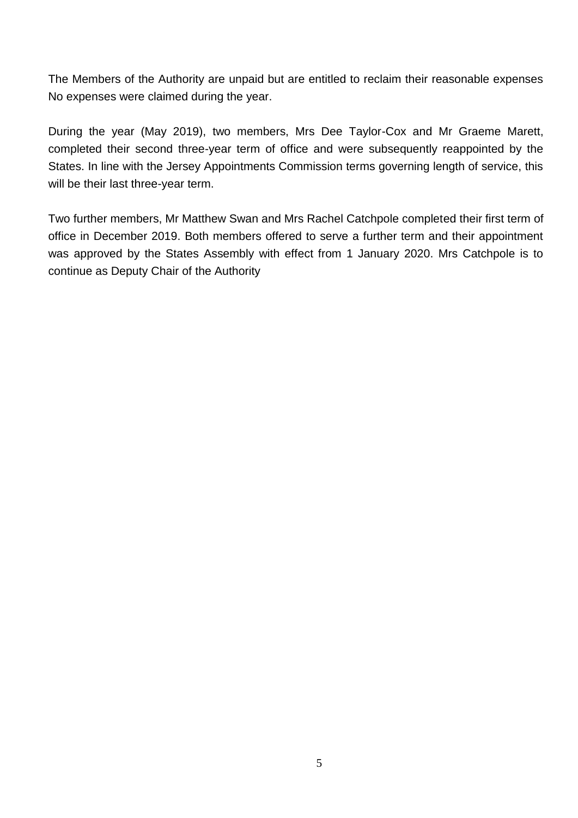The Members of the Authority are unpaid but are entitled to reclaim their reasonable expenses No expenses were claimed during the year.

During the year (May 2019), two members, Mrs Dee Taylor-Cox and Mr Graeme Marett, completed their second three-year term of office and were subsequently reappointed by the States. In line with the Jersey Appointments Commission terms governing length of service, this will be their last three-year term.

Two further members, Mr Matthew Swan and Mrs Rachel Catchpole completed their first term of office in December 2019. Both members offered to serve a further term and their appointment was approved by the States Assembly with effect from 1 January 2020. Mrs Catchpole is to continue as Deputy Chair of the Authority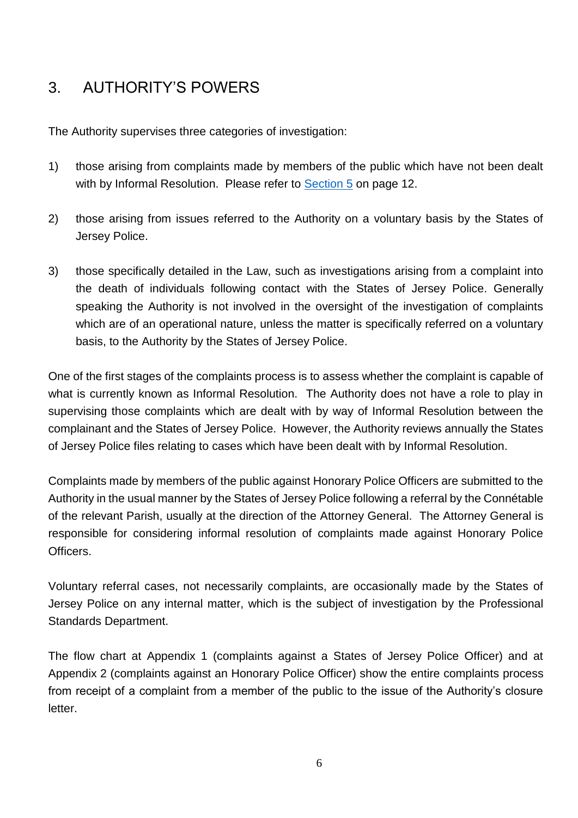### <span id="page-7-0"></span>3. AUTHORITY'S POWERS

The Authority supervises three categories of investigation:

- 1) those arising from complaints made by members of the public which have not been dealt with by Informal Resolution. Please refer to **Section 5** on page 12.
- 2) those arising from issues referred to the Authority on a voluntary basis by the States of Jersey Police.
- 3) those specifically detailed in the Law, such as investigations arising from a complaint into the death of individuals following contact with the States of Jersey Police. Generally speaking the Authority is not involved in the oversight of the investigation of complaints which are of an operational nature, unless the matter is specifically referred on a voluntary basis, to the Authority by the States of Jersey Police.

One of the first stages of the complaints process is to assess whether the complaint is capable of what is currently known as Informal Resolution. The Authority does not have a role to play in supervising those complaints which are dealt with by way of Informal Resolution between the complainant and the States of Jersey Police. However, the Authority reviews annually the States of Jersey Police files relating to cases which have been dealt with by Informal Resolution.

Complaints made by members of the public against Honorary Police Officers are submitted to the Authority in the usual manner by the States of Jersey Police following a referral by the Connétable of the relevant Parish, usually at the direction of the Attorney General. The Attorney General is responsible for considering informal resolution of complaints made against Honorary Police Officers.

Voluntary referral cases, not necessarily complaints, are occasionally made by the States of Jersey Police on any internal matter, which is the subject of investigation by the Professional Standards Department.

The flow chart at Appendix 1 (complaints against a States of Jersey Police Officer) and at Appendix 2 (complaints against an Honorary Police Officer) show the entire complaints process from receipt of a complaint from a member of the public to the issue of the Authority's closure letter.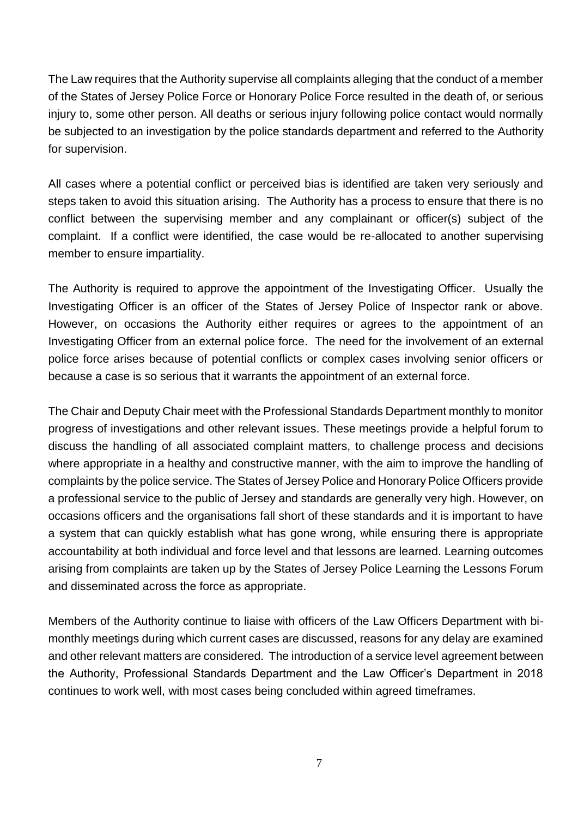The Law requires that the Authority supervise all complaints alleging that the conduct of a member of the States of Jersey Police Force or Honorary Police Force resulted in the death of, or serious injury to, some other person. All deaths or serious injury following police contact would normally be subjected to an investigation by the police standards department and referred to the Authority for supervision.

All cases where a potential conflict or perceived bias is identified are taken very seriously and steps taken to avoid this situation arising. The Authority has a process to ensure that there is no conflict between the supervising member and any complainant or officer(s) subject of the complaint. If a conflict were identified, the case would be re-allocated to another supervising member to ensure impartiality.

The Authority is required to approve the appointment of the Investigating Officer. Usually the Investigating Officer is an officer of the States of Jersey Police of Inspector rank or above. However, on occasions the Authority either requires or agrees to the appointment of an Investigating Officer from an external police force. The need for the involvement of an external police force arises because of potential conflicts or complex cases involving senior officers or because a case is so serious that it warrants the appointment of an external force.

The Chair and Deputy Chair meet with the Professional Standards Department monthly to monitor progress of investigations and other relevant issues. These meetings provide a helpful forum to discuss the handling of all associated complaint matters, to challenge process and decisions where appropriate in a healthy and constructive manner, with the aim to improve the handling of complaints by the police service. The States of Jersey Police and Honorary Police Officers provide a professional service to the public of Jersey and standards are generally very high. However, on occasions officers and the organisations fall short of these standards and it is important to have a system that can quickly establish what has gone wrong, while ensuring there is appropriate accountability at both individual and force level and that lessons are learned. Learning outcomes arising from complaints are taken up by the States of Jersey Police Learning the Lessons Forum and disseminated across the force as appropriate.

Members of the Authority continue to liaise with officers of the Law Officers Department with bimonthly meetings during which current cases are discussed, reasons for any delay are examined and other relevant matters are considered. The introduction of a service level agreement between the Authority, Professional Standards Department and the Law Officer's Department in 2018 continues to work well, with most cases being concluded within agreed timeframes.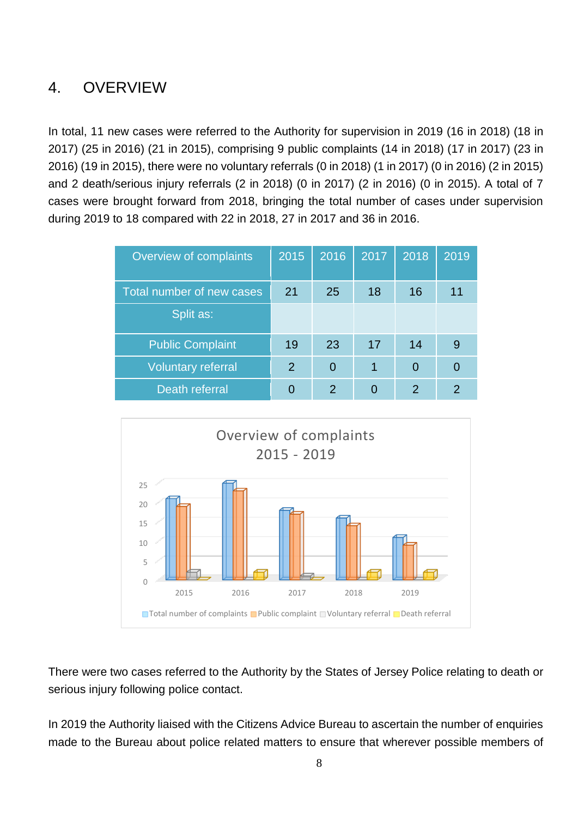### <span id="page-9-0"></span>4. OVERVIEW

In total, 11 new cases were referred to the Authority for supervision in 2019 (16 in 2018) (18 in 2017) (25 in 2016) (21 in 2015), comprising 9 public complaints (14 in 2018) (17 in 2017) (23 in 2016) (19 in 2015), there were no voluntary referrals (0 in 2018) (1 in 2017) (0 in 2016) (2 in 2015) and 2 death/serious injury referrals (2 in 2018) (0 in 2017) (2 in 2016) (0 in 2015). A total of 7 cases were brought forward from 2018, bringing the total number of cases under supervision during 2019 to 18 compared with 22 in 2018, 27 in 2017 and 36 in 2016.

| Overview of complaints    | 2015 | 2016          | 2017 | 2018          | 2019 |
|---------------------------|------|---------------|------|---------------|------|
| Total number of new cases | 21   | 25            | 18   | 16            | 11   |
| Split as:                 |      |               |      |               |      |
| <b>Public Complaint</b>   | 19   | 23            | 17   | 14            |      |
| <b>Voluntary referral</b> | 2    | $\Omega$      |      | $\Omega$      |      |
| Death referral            | 0    | $\mathcal{P}$ | 0    | $\mathcal{P}$ |      |



There were two cases referred to the Authority by the States of Jersey Police relating to death or serious injury following police contact.

In 2019 the Authority liaised with the Citizens Advice Bureau to ascertain the number of enquiries made to the Bureau about police related matters to ensure that wherever possible members of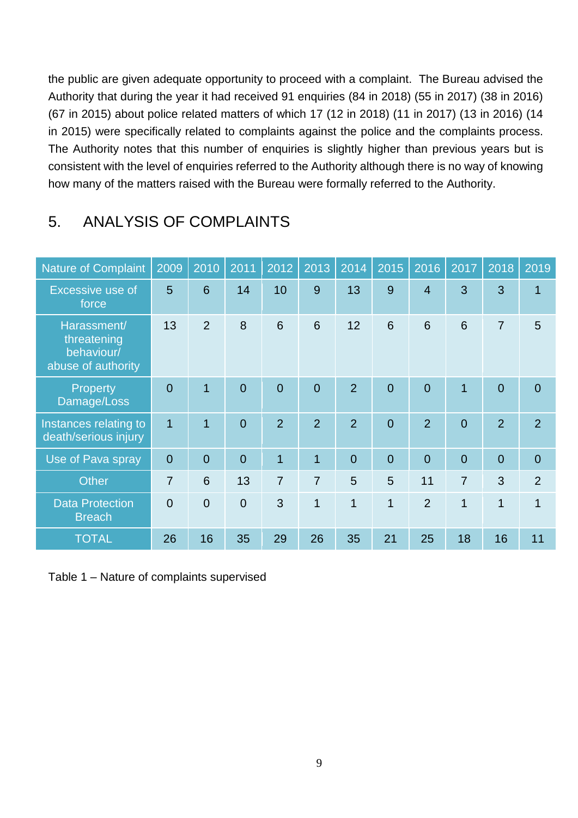the public are given adequate opportunity to proceed with a complaint. The Bureau advised the Authority that during the year it had received 91 enquiries (84 in 2018) (55 in 2017) (38 in 2016) (67 in 2015) about police related matters of which 17 (12 in 2018) (11 in 2017) (13 in 2016) (14 in 2015) were specifically related to complaints against the police and the complaints process. The Authority notes that this number of enquiries is slightly higher than previous years but is consistent with the level of enquiries referred to the Authority although there is no way of knowing how many of the matters raised with the Bureau were formally referred to the Authority.

| <b>Nature of Complaint</b>                                     | 2009           | 2010           | 2011           | 2012           | 2013           | 2014           | 2015           | 2016           | 2017           | 2018           | 2019           |
|----------------------------------------------------------------|----------------|----------------|----------------|----------------|----------------|----------------|----------------|----------------|----------------|----------------|----------------|
| Excessive use of<br>force                                      | 5              | 6              | 14             | 10             | 9              | 13             | 9              | $\overline{4}$ | 3              | 3              | $\overline{1}$ |
| Harassment/<br>threatening<br>behaviour/<br>abuse of authority | 13             | $\overline{2}$ | 8              | 6              | 6              | 12             | 6              | 6              | 6              | $\overline{7}$ | 5              |
| Property<br>Damage/Loss                                        | $\overline{0}$ | 1              | $\overline{0}$ | $\overline{0}$ | $\overline{0}$ | $\overline{2}$ | $\overline{0}$ | $\overline{0}$ | $\overline{1}$ | $\overline{0}$ | $\overline{0}$ |
| Instances relating to<br>death/serious injury                  | $\overline{1}$ | 1              | $\overline{0}$ | $\overline{2}$ | $\overline{2}$ | $\overline{2}$ | $\Omega$       | $\overline{2}$ | $\overline{0}$ | $\overline{2}$ | $\overline{2}$ |
| Use of Pava spray                                              | $\overline{0}$ | $\overline{0}$ | $\overline{0}$ | $\overline{1}$ | $\overline{1}$ | $\overline{0}$ | $\overline{0}$ | $\overline{0}$ | $\overline{0}$ | $\overline{0}$ | $\overline{0}$ |
| <b>Other</b>                                                   | $\overline{7}$ | 6              | 13             | $\overline{7}$ | $\overline{7}$ | 5              | 5              | 11             | $\overline{7}$ | 3              | $\overline{2}$ |
| <b>Data Protection</b><br><b>Breach</b>                        | $\Omega$       | $\overline{0}$ | $\overline{0}$ | 3              | $\overline{1}$ | $\overline{1}$ | $\overline{1}$ | $\overline{2}$ | $\overline{1}$ | 1              | $\overline{1}$ |
| <b>TOTAL</b>                                                   | 26             | 16             | 35             | 29             | 26             | 35             | 21             | 25             | 18             | 16             | 11             |

#### <span id="page-10-0"></span>5. ANALYSIS OF COMPLAINTS

Table 1 – Nature of complaints supervised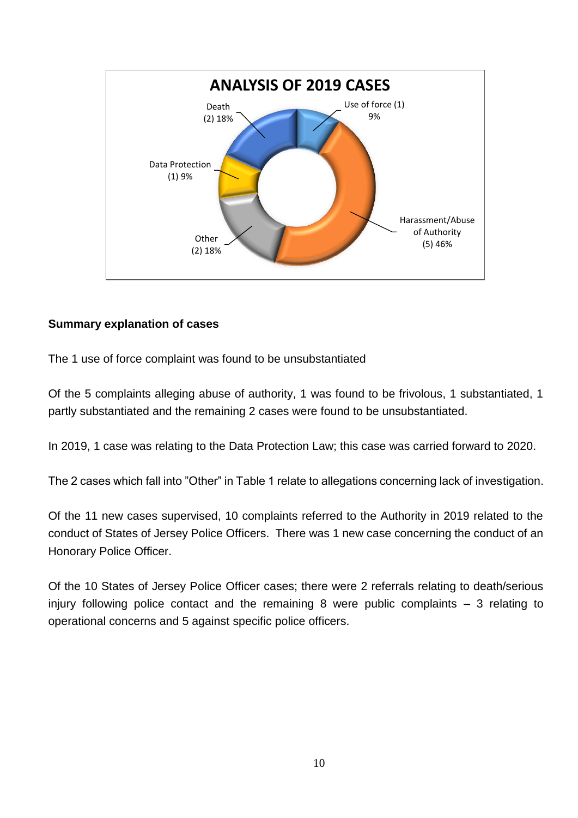

#### **Summary explanation of cases**

The 1 use of force complaint was found to be unsubstantiated

Of the 5 complaints alleging abuse of authority, 1 was found to be frivolous, 1 substantiated, 1 partly substantiated and the remaining 2 cases were found to be unsubstantiated.

In 2019, 1 case was relating to the Data Protection Law; this case was carried forward to 2020.

The 2 cases which fall into "Other" in Table 1 relate to allegations concerning lack of investigation.

Of the 11 new cases supervised, 10 complaints referred to the Authority in 2019 related to the conduct of States of Jersey Police Officers. There was 1 new case concerning the conduct of an Honorary Police Officer.

Of the 10 States of Jersey Police Officer cases; there were 2 referrals relating to death/serious injury following police contact and the remaining 8 were public complaints – 3 relating to operational concerns and 5 against specific police officers.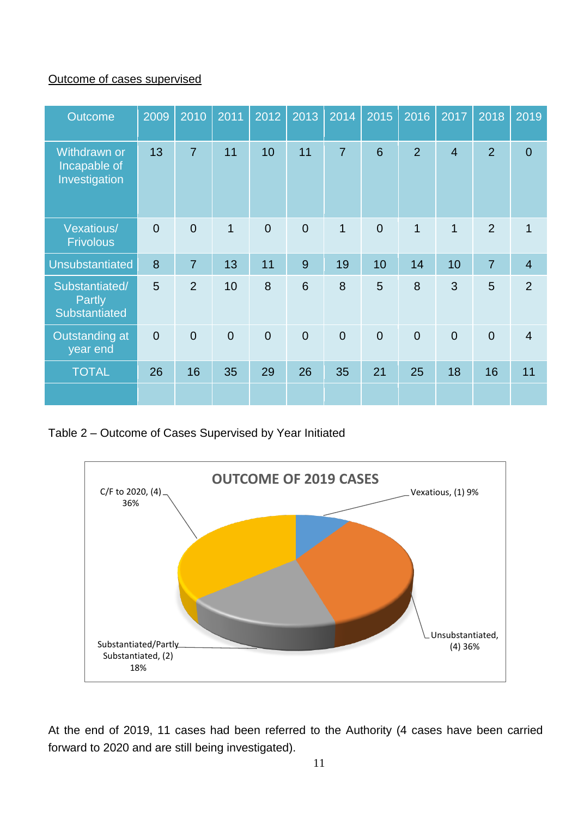#### Outcome of cases supervised

| Outcome                                              | 2009           | 2010           | 2011           | 2012           | 2013           | 2014           | 2015           | 2016           | 2017           | 2018           | 2019           |
|------------------------------------------------------|----------------|----------------|----------------|----------------|----------------|----------------|----------------|----------------|----------------|----------------|----------------|
| <b>Withdrawn or</b><br>Incapable of<br>Investigation | 13             | $\overline{7}$ | 11             | 10             | 11             | $\overline{7}$ | 6              | $\overline{2}$ | $\overline{4}$ | $\overline{2}$ | $\mathbf 0$    |
| <b>Vexatious/</b><br><b>Frivolous</b>                | $\overline{0}$ | $\overline{0}$ | $\overline{1}$ | $\overline{0}$ | $\overline{0}$ | $\mathbf{1}$   | $\overline{0}$ | $\mathbf{1}$   | $\mathbf{1}$   | $\overline{2}$ | 1              |
| <b>Unsubstantiated</b>                               | 8              | $\overline{7}$ | 13             | 11             | 9              | 19             | 10             | 14             | 10             | $\overline{7}$ | $\overline{4}$ |
| Substantiated/<br><b>Partly</b><br>Substantiated     | 5              | $\overline{2}$ | 10             | 8              | 6              | 8              | 5              | 8              | 3              | 5              | $\overline{2}$ |
| Outstanding at<br>year end                           | $\overline{0}$ | $\mathbf 0$    | $\overline{0}$ | $\overline{0}$ | $\overline{0}$ | $\overline{0}$ | $\overline{0}$ | $\overline{0}$ | $\overline{0}$ | $\overline{0}$ | $\overline{4}$ |
| <b>TOTAL</b>                                         | 26             | 16             | 35             | 29             | 26             | 35             | 21             | 25             | 18             | 16             | 11             |
|                                                      |                |                |                |                |                |                |                |                |                |                |                |

Table 2 – Outcome of Cases Supervised by Year Initiated



At the end of 2019, 11 cases had been referred to the Authority (4 cases have been carried forward to 2020 and are still being investigated).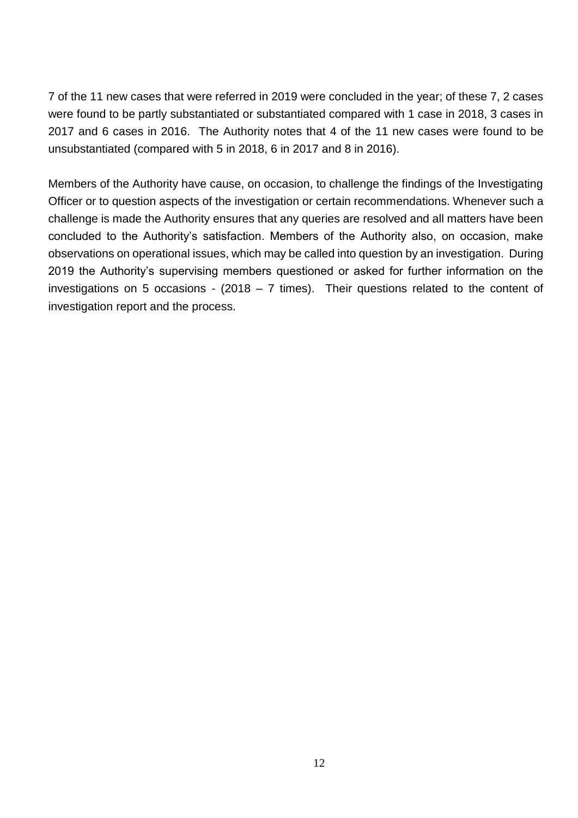7 of the 11 new cases that were referred in 2019 were concluded in the year; of these 7, 2 cases were found to be partly substantiated or substantiated compared with 1 case in 2018, 3 cases in 2017 and 6 cases in 2016. The Authority notes that 4 of the 11 new cases were found to be unsubstantiated (compared with 5 in 2018, 6 in 2017 and 8 in 2016).

Members of the Authority have cause, on occasion, to challenge the findings of the Investigating Officer or to question aspects of the investigation or certain recommendations. Whenever such a challenge is made the Authority ensures that any queries are resolved and all matters have been concluded to the Authority's satisfaction. Members of the Authority also, on occasion, make observations on operational issues, which may be called into question by an investigation. During 2019 the Authority's supervising members questioned or asked for further information on the investigations on 5 occasions - (2018 – 7 times). Their questions related to the content of investigation report and the process.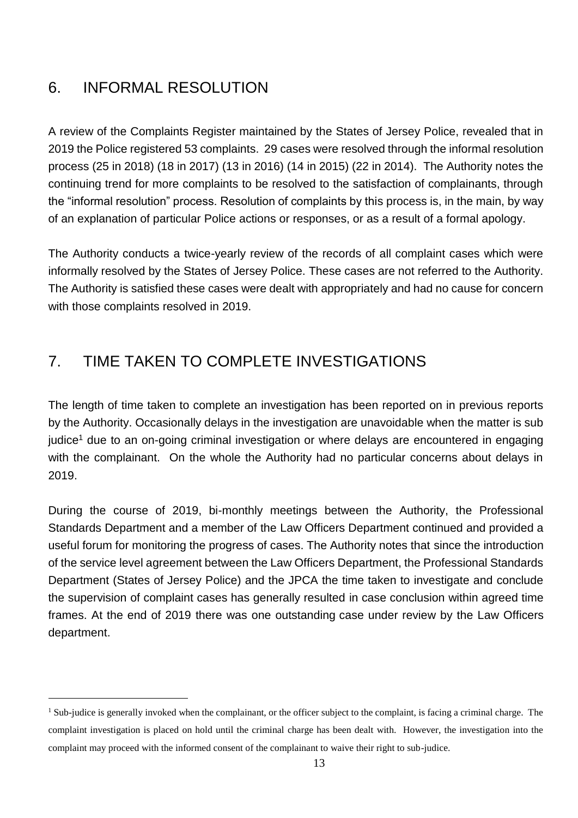### <span id="page-14-0"></span>6. INFORMAL RESOLUTION

 $\overline{a}$ 

<span id="page-14-2"></span>A review of the Complaints Register maintained by the States of Jersey Police, revealed that in 2019 the Police registered 53 complaints. 29 cases were resolved through the informal resolution process (25 in 2018) (18 in 2017) (13 in 2016) (14 in 2015) (22 in 2014). The Authority notes the continuing trend for more complaints to be resolved to the satisfaction of complainants, through the "informal resolution" process. Resolution of complaints by this process is, in the main, by way of an explanation of particular Police actions or responses, or as a result of a formal apology.

The Authority conducts a twice-yearly review of the records of all complaint cases which were informally resolved by the States of Jersey Police. These cases are not referred to the Authority. The Authority is satisfied these cases were dealt with appropriately and had no cause for concern with those complaints resolved in 2019.

### <span id="page-14-1"></span>7. TIME TAKEN TO COMPLETE INVESTIGATIONS

The length of time taken to complete an investigation has been reported on in previous reports by the Authority. Occasionally delays in the investigation are unavoidable when the matter is sub judice<sup>1</sup> due to an on-going criminal investigation or where delays are encountered in engaging with the complainant. On the whole the Authority had no particular concerns about delays in 2019.

During the course of 2019, bi-monthly meetings between the Authority, the Professional Standards Department and a member of the Law Officers Department continued and provided a useful forum for monitoring the progress of cases. The Authority notes that since the introduction of the service level agreement between the Law Officers Department, the Professional Standards Department (States of Jersey Police) and the JPCA the time taken to investigate and conclude the supervision of complaint cases has generally resulted in case conclusion within agreed time frames. At the end of 2019 there was one outstanding case under review by the Law Officers department.

<sup>&</sup>lt;sup>1</sup> Sub-judice is generally invoked when the complainant, or the officer subject to the complaint, is facing a criminal charge. The complaint investigation is placed on hold until the criminal charge has been dealt with. However, the investigation into the complaint may proceed with the informed consent of the complainant to waive their right to sub-judice.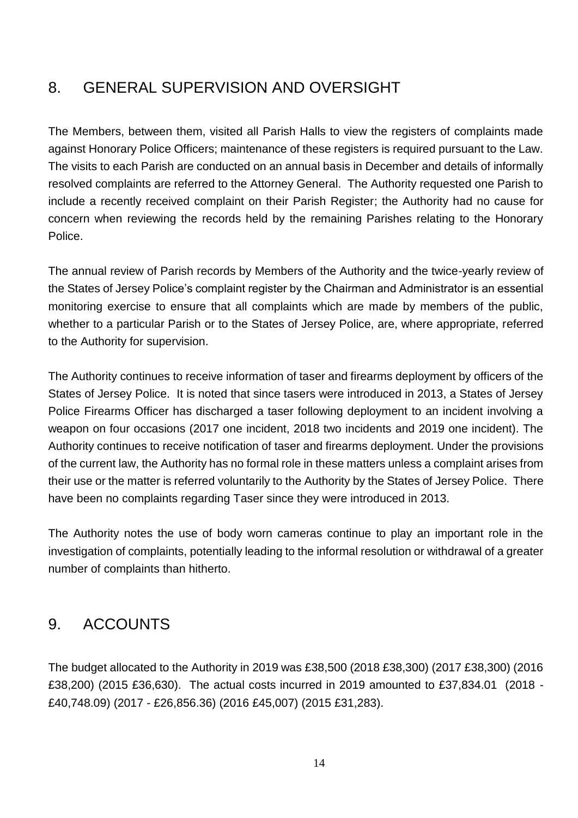#### <span id="page-15-0"></span>8. GENERAL SUPERVISION AND OVERSIGHT

The Members, between them, visited all Parish Halls to view the registers of complaints made against Honorary Police Officers; maintenance of these registers is required pursuant to the Law. The visits to each Parish are conducted on an annual basis in December and details of informally resolved complaints are referred to the Attorney General. The Authority requested one Parish to include a recently received complaint on their Parish Register; the Authority had no cause for concern when reviewing the records held by the remaining Parishes relating to the Honorary Police.

The annual review of Parish records by Members of the Authority and the twice-yearly review of the States of Jersey Police's complaint register by the Chairman and Administrator is an essential monitoring exercise to ensure that all complaints which are made by members of the public, whether to a particular Parish or to the States of Jersey Police, are, where appropriate, referred to the Authority for supervision.

The Authority continues to receive information of taser and firearms deployment by officers of the States of Jersey Police. It is noted that since tasers were introduced in 2013, a States of Jersey Police Firearms Officer has discharged a taser following deployment to an incident involving a weapon on four occasions (2017 one incident, 2018 two incidents and 2019 one incident). The Authority continues to receive notification of taser and firearms deployment. Under the provisions of the current law, the Authority has no formal role in these matters unless a complaint arises from their use or the matter is referred voluntarily to the Authority by the States of Jersey Police. There have been no complaints regarding Taser since they were introduced in 2013.

The Authority notes the use of body worn cameras continue to play an important role in the investigation of complaints, potentially leading to the informal resolution or withdrawal of a greater number of complaints than hitherto.

#### <span id="page-15-1"></span>9. ACCOUNTS

The budget allocated to the Authority in 2019 was £38,500 (2018 £38,300) (2017 £38,300) (2016 £38,200) (2015 £36,630). The actual costs incurred in 2019 amounted to £37,834.01 (2018 - £40,748.09) (2017 - £26,856.36) (2016 £45,007) (2015 £31,283).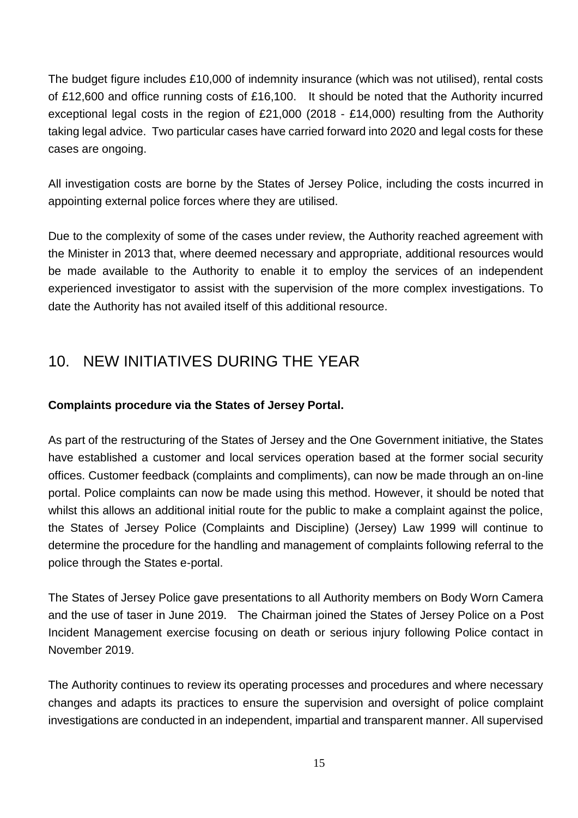The budget figure includes £10,000 of indemnity insurance (which was not utilised), rental costs of £12,600 and office running costs of £16,100. It should be noted that the Authority incurred exceptional legal costs in the region of £21,000 (2018 - £14,000) resulting from the Authority taking legal advice. Two particular cases have carried forward into 2020 and legal costs for these cases are ongoing.

All investigation costs are borne by the States of Jersey Police, including the costs incurred in appointing external police forces where they are utilised.

Due to the complexity of some of the cases under review, the Authority reached agreement with the Minister in 2013 that, where deemed necessary and appropriate, additional resources would be made available to the Authority to enable it to employ the services of an independent experienced investigator to assist with the supervision of the more complex investigations. To date the Authority has not availed itself of this additional resource.

#### <span id="page-16-0"></span>10. NEW INITIATIVES DURING THE YEAR

#### **Complaints procedure via the States of Jersey Portal.**

As part of the restructuring of the States of Jersey and the One Government initiative, the States have established a customer and local services operation based at the former social security offices. Customer feedback (complaints and compliments), can now be made through an on-line portal. Police complaints can now be made using this method. However, it should be noted that whilst this allows an additional initial route for the public to make a complaint against the police, the States of Jersey Police (Complaints and Discipline) (Jersey) Law 1999 will continue to determine the procedure for the handling and management of complaints following referral to the police through the States e-portal.

The States of Jersey Police gave presentations to all Authority members on Body Worn Camera and the use of taser in June 2019. The Chairman joined the States of Jersey Police on a Post Incident Management exercise focusing on death or serious injury following Police contact in November 2019.

The Authority continues to review its operating processes and procedures and where necessary changes and adapts its practices to ensure the supervision and oversight of police complaint investigations are conducted in an independent, impartial and transparent manner. All supervised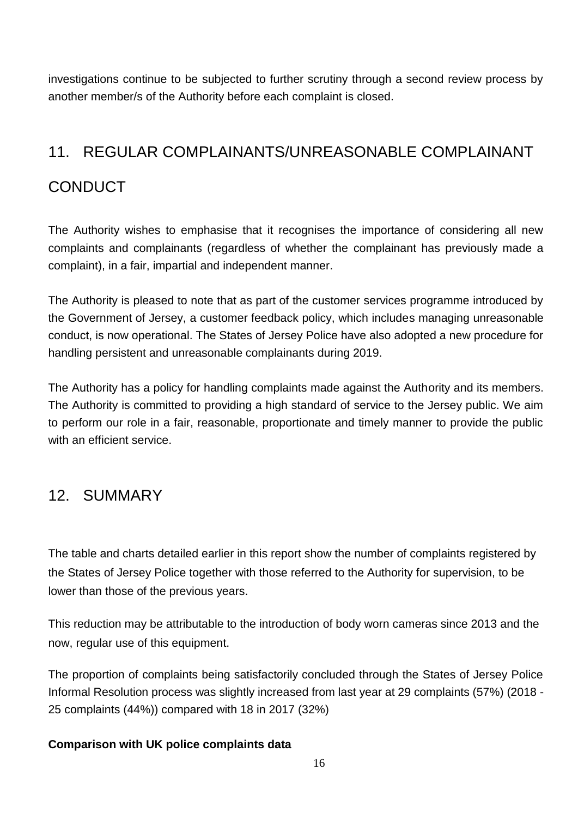investigations continue to be subjected to further scrutiny through a second review process by another member/s of the Authority before each complaint is closed.

### <span id="page-17-0"></span>11. REGULAR COMPLAINANTS/UNREASONABLE COMPLAINANT

### **CONDUCT**

The Authority wishes to emphasise that it recognises the importance of considering all new complaints and complainants (regardless of whether the complainant has previously made a complaint), in a fair, impartial and independent manner.

The Authority is pleased to note that as part of the customer services programme introduced by the Government of Jersey, a customer feedback policy, which includes managing unreasonable conduct, is now operational. The States of Jersey Police have also adopted a new procedure for handling persistent and unreasonable complainants during 2019.

The Authority has a policy for handling complaints made against the Authority and its members. The Authority is committed to providing a high standard of service to the Jersey public. We aim to perform our role in a fair, reasonable, proportionate and timely manner to provide the public with an efficient service.

#### <span id="page-17-1"></span>12. SUMMARY

The table and charts detailed earlier in this report show the number of complaints registered by the States of Jersey Police together with those referred to the Authority for supervision, to be lower than those of the previous years.

This reduction may be attributable to the introduction of body worn cameras since 2013 and the now, regular use of this equipment.

The proportion of complaints being satisfactorily concluded through the States of Jersey Police Informal Resolution process was slightly increased from last year at 29 complaints (57%) (2018 - 25 complaints (44%)) compared with 18 in 2017 (32%)

#### **Comparison with UK police complaints data**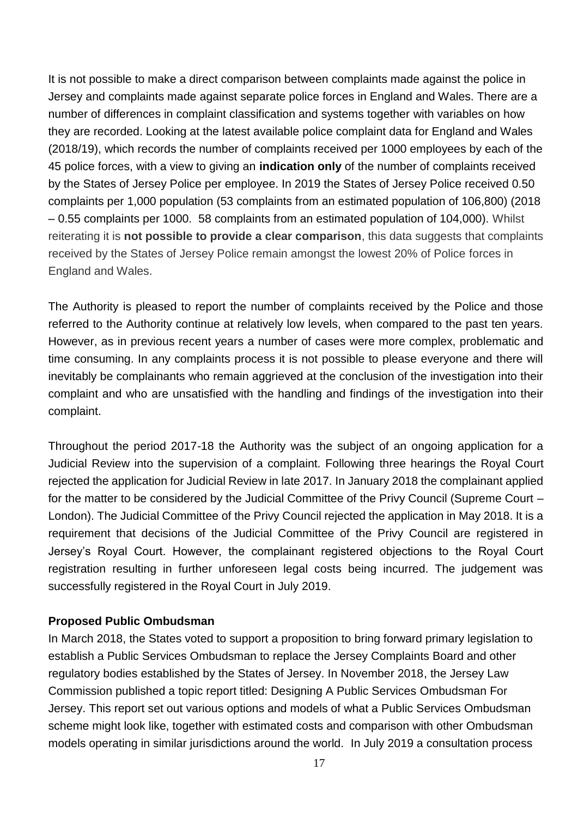It is not possible to make a direct comparison between complaints made against the police in Jersey and complaints made against separate police forces in England and Wales. There are a number of differences in complaint classification and systems together with variables on how they are recorded. Looking at the latest available police complaint data for England and Wales (2018/19), which records the number of complaints received per 1000 employees by each of the 45 police forces, with a view to giving an **indication only** of the number of complaints received by the States of Jersey Police per employee. In 2019 the States of Jersey Police received 0.50 complaints per 1,000 population (53 complaints from an estimated population of 106,800) (2018 – 0.55 complaints per 1000. 58 complaints from an estimated population of 104,000). Whilst reiterating it is **not possible to provide a clear comparison**, this data suggests that complaints received by the States of Jersey Police remain amongst the lowest 20% of Police forces in England and Wales.

The Authority is pleased to report the number of complaints received by the Police and those referred to the Authority continue at relatively low levels, when compared to the past ten years. However, as in previous recent years a number of cases were more complex, problematic and time consuming. In any complaints process it is not possible to please everyone and there will inevitably be complainants who remain aggrieved at the conclusion of the investigation into their complaint and who are unsatisfied with the handling and findings of the investigation into their complaint.

Throughout the period 2017-18 the Authority was the subject of an ongoing application for a Judicial Review into the supervision of a complaint. Following three hearings the Royal Court rejected the application for Judicial Review in late 2017. In January 2018 the complainant applied for the matter to be considered by the Judicial Committee of the Privy Council (Supreme Court – London). The Judicial Committee of the Privy Council rejected the application in May 2018. It is a requirement that decisions of the Judicial Committee of the Privy Council are registered in Jersey's Royal Court. However, the complainant registered objections to the Royal Court registration resulting in further unforeseen legal costs being incurred. The judgement was successfully registered in the Royal Court in July 2019.

#### **Proposed Public Ombudsman**

In March 2018, the States voted to support a proposition to bring forward primary legislation to establish a Public Services Ombudsman to replace the Jersey Complaints Board and other regulatory bodies established by the States of Jersey. In November 2018, the Jersey Law Commission published a topic report titled: Designing A Public Services Ombudsman For Jersey. This report set out various options and models of what a Public Services Ombudsman scheme might look like, together with estimated costs and comparison with other Ombudsman models operating in similar jurisdictions around the world. In July 2019 a consultation process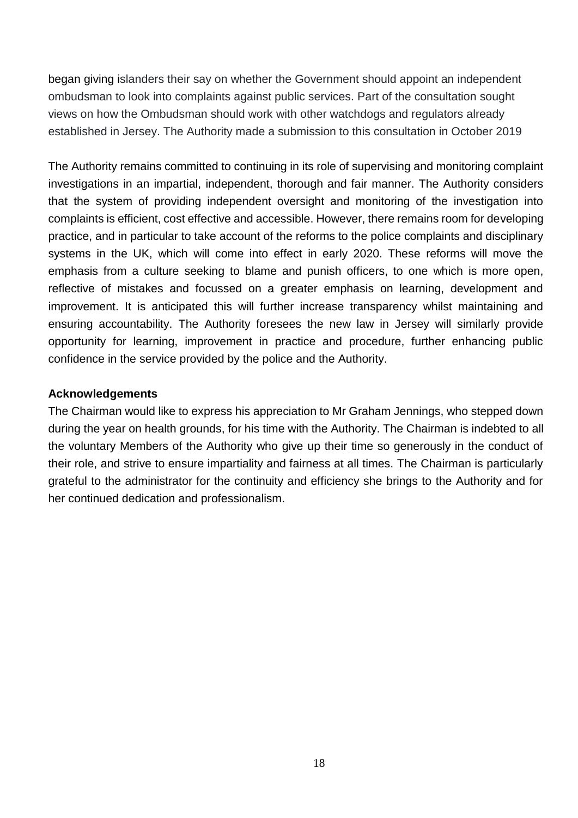began giving islanders their say on whether the Government should appoint an independent ombudsman to look into complaints against public services. Part of the consultation sought views on how the Ombudsman should work with other watchdogs and regulators already established in Jersey. The Authority made a submission to this consultation in October 2019

The Authority remains committed to continuing in its role of supervising and monitoring complaint investigations in an impartial, independent, thorough and fair manner. The Authority considers that the system of providing independent oversight and monitoring of the investigation into complaints is efficient, cost effective and accessible. However, there remains room for developing practice, and in particular to take account of the reforms to the police complaints and disciplinary systems in the UK, which will come into effect in early 2020. These reforms will move the emphasis from a culture seeking to blame and punish officers, to one which is more open, reflective of mistakes and focussed on a greater emphasis on learning, development and improvement. It is anticipated this will further increase transparency whilst maintaining and ensuring accountability. The Authority foresees the new law in Jersey will similarly provide opportunity for learning, improvement in practice and procedure, further enhancing public confidence in the service provided by the police and the Authority.

#### **Acknowledgements**

The Chairman would like to express his appreciation to Mr Graham Jennings, who stepped down during the year on health grounds, for his time with the Authority. The Chairman is indebted to all the voluntary Members of the Authority who give up their time so generously in the conduct of their role, and strive to ensure impartiality and fairness at all times. The Chairman is particularly grateful to the administrator for the continuity and efficiency she brings to the Authority and for her continued dedication and professionalism.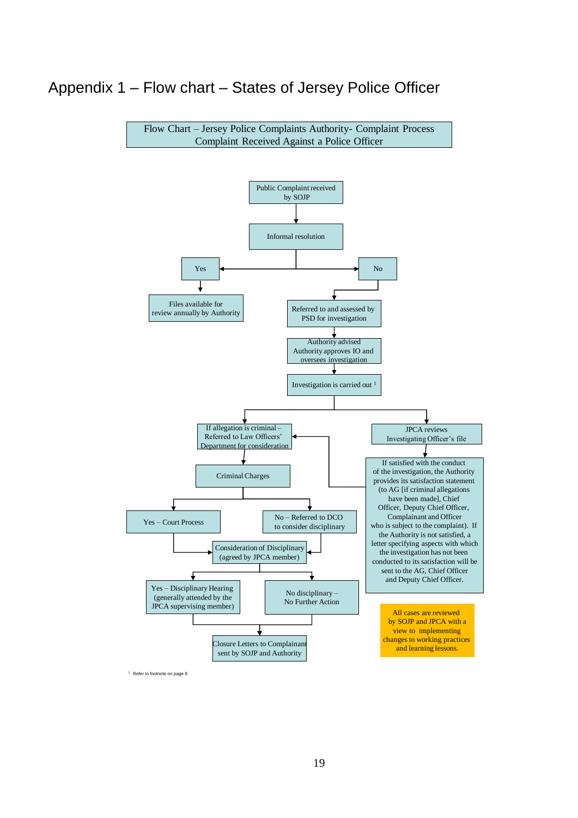#### <span id="page-20-0"></span>Appendix 1 – Flow chart – States of Jersey Police Officer



<sup>1</sup> Refer to footnote on page 8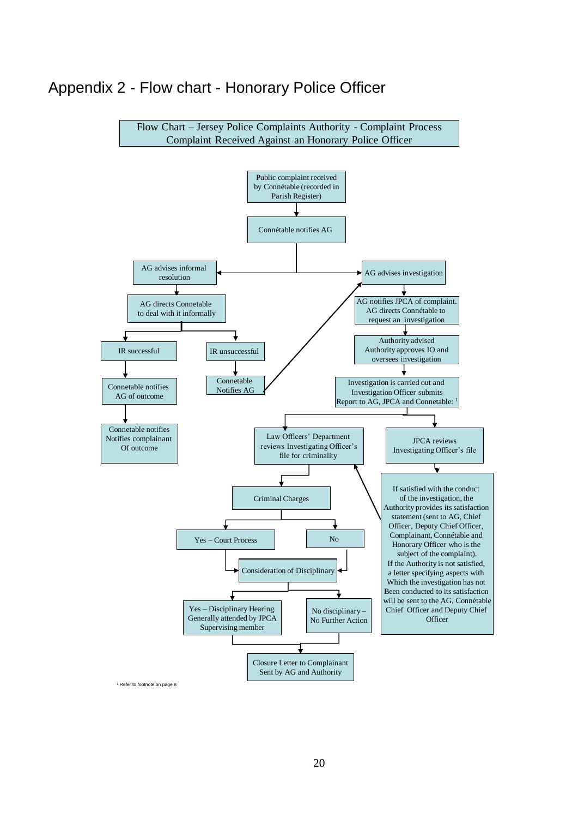#### <span id="page-21-0"></span>Appendix 2 - Flow chart - Honorary Police Officer



<sup>1</sup> Refer to footnote on page 8